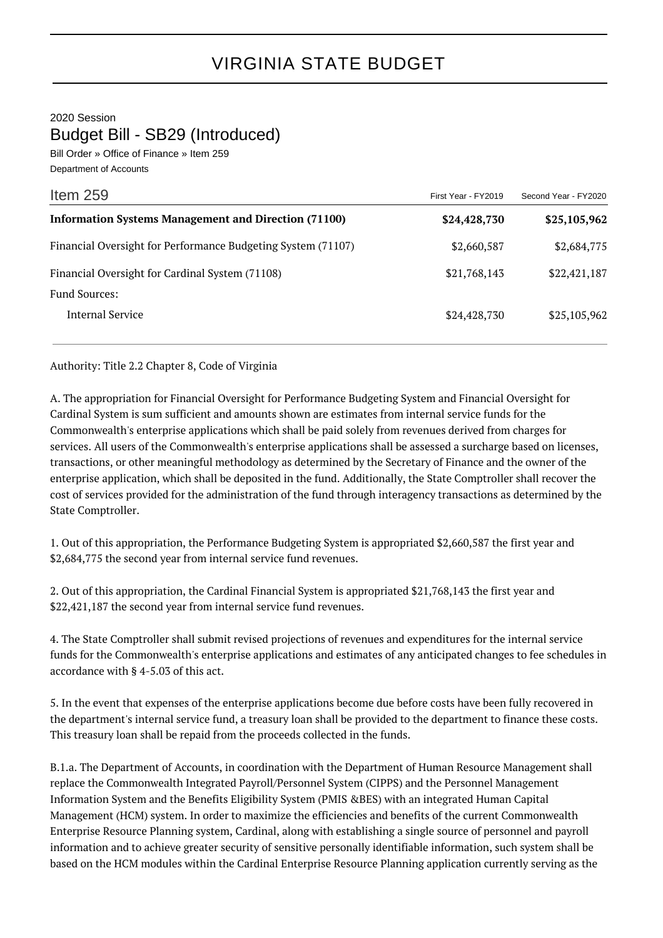2020 Session Budget Bill - SB29 (Introduced)

Bill Order » Office of Finance » Item 259 Department of Accounts

| Item $259$                                                   | First Year - FY2019 | Second Year - FY2020 |
|--------------------------------------------------------------|---------------------|----------------------|
| <b>Information Systems Management and Direction (71100)</b>  | \$24,428,730        | \$25,105,962         |
| Financial Oversight for Performance Budgeting System (71107) | \$2,660,587         | \$2,684,775          |
| Financial Oversight for Cardinal System (71108)              | \$21,768,143        | \$22,421,187         |
| <b>Fund Sources:</b>                                         |                     |                      |
| Internal Service                                             | \$24,428,730        | \$25,105,962         |
|                                                              |                     |                      |

Authority: Title 2.2 Chapter 8, Code of Virginia

A. The appropriation for Financial Oversight for Performance Budgeting System and Financial Oversight for Cardinal System is sum sufficient and amounts shown are estimates from internal service funds for the Commonwealth's enterprise applications which shall be paid solely from revenues derived from charges for services. All users of the Commonwealth's enterprise applications shall be assessed a surcharge based on licenses, transactions, or other meaningful methodology as determined by the Secretary of Finance and the owner of the enterprise application, which shall be deposited in the fund. Additionally, the State Comptroller shall recover the cost of services provided for the administration of the fund through interagency transactions as determined by the State Comptroller.

1. Out of this appropriation, the Performance Budgeting System is appropriated \$2,660,587 the first year and \$2,684,775 the second year from internal service fund revenues.

2. Out of this appropriation, the Cardinal Financial System is appropriated \$21,768,143 the first year and \$22,421,187 the second year from internal service fund revenues.

4. The State Comptroller shall submit revised projections of revenues and expenditures for the internal service funds for the Commonwealth's enterprise applications and estimates of any anticipated changes to fee schedules in accordance with § 4-5.03 of this act.

5. In the event that expenses of the enterprise applications become due before costs have been fully recovered in the department's internal service fund, a treasury loan shall be provided to the department to finance these costs. This treasury loan shall be repaid from the proceeds collected in the funds.

B.1.a. The Department of Accounts, in coordination with the Department of Human Resource Management shall replace the Commonwealth Integrated Payroll/Personnel System (CIPPS) and the Personnel Management Information System and the Benefits Eligibility System (PMIS &BES) with an integrated Human Capital Management (HCM) system. In order to maximize the efficiencies and benefits of the current Commonwealth Enterprise Resource Planning system, Cardinal, along with establishing a single source of personnel and payroll information and to achieve greater security of sensitive personally identifiable information, such system shall be based on the HCM modules within the Cardinal Enterprise Resource Planning application currently serving as the